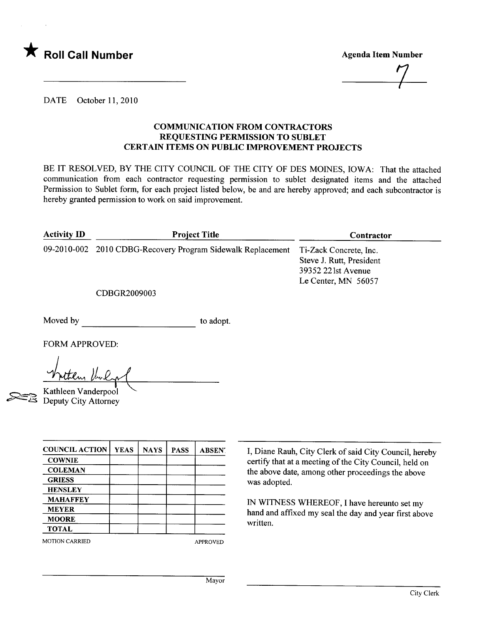

Agenda Item Number

 $\frac{1}{2}$ 

DATE October 11, 2010

## COMMUICATION FROM CONTRACTORS REQUESTING PERMISSION TO SUBLET CERTAIN ITEMS ON PUBLIC IMPROVEMENT PROJECTS

BE IT RESOLVED, BY THE CITY COUNCIL OF THE CITY OF DES MOINES, IOWA: That the attached communication from each contractor requesting permission to sublet designated items and the attached Permission to Sublet form, for each project listed below, be and are hereby approved; and each subcontractor is hereby granted permission to work on said improvement.

| <b>Activity ID</b> | <b>Project Title</b>                                        | Contractor                                                                                      |
|--------------------|-------------------------------------------------------------|-------------------------------------------------------------------------------------------------|
|                    | 09-2010-002 2010 CDBG-Recovery Program Sidewalk Replacement | Ti-Zack Concrete, Inc.<br>Steve J. Rutt, President<br>39352 221st Avenue<br>Le Center, MN 56057 |
|                    | CDBGR2009003                                                |                                                                                                 |

Moved by to adopt.

~~

FORM APPROVED:

v/~ lL~

Kathleen Vanderpool Deputy City Attorney

| <b>COUNCIL ACTION</b> | <b>YEAS</b> | <b>NAYS</b> | <b>PASS</b> | <b>ABSEN</b> .  |
|-----------------------|-------------|-------------|-------------|-----------------|
| <b>COWNIE</b>         |             |             |             |                 |
| <b>COLEMAN</b>        |             |             |             |                 |
| <b>GRIESS</b>         |             |             |             |                 |
| <b>HENSLEY</b>        |             |             |             |                 |
| <b>MAHAFFEY</b>       |             |             |             |                 |
| <b>MEYER</b>          |             |             |             |                 |
| <b>MOORE</b>          |             |             |             |                 |
| <b>TOTAL</b>          |             |             |             |                 |
| <b>MOTION CARRIED</b> |             |             |             | <b>APPROVED</b> |

I, Diane Rauh, City Clerk of said City Council, hereby certify that at a meeting of the City Council, held on the above date, among other proceedings the above was adopted.

IN WITNESS WHEREOF, I have hereunto set my hand and affixed my seal the day and year first above written.

Mayor